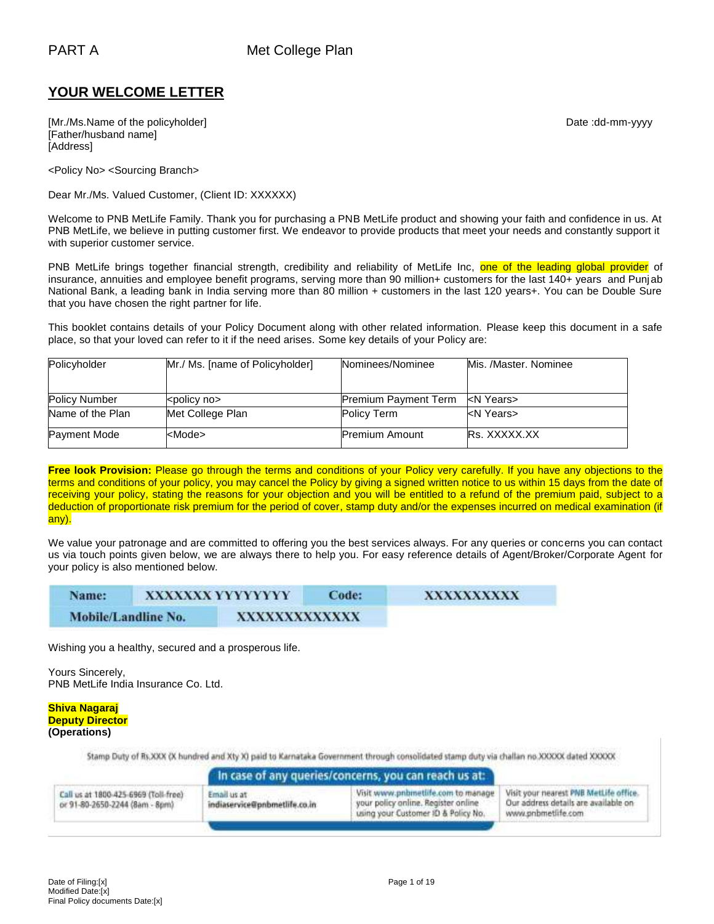# **YOUR WELCOME LETTER**

[Mr./Ms.Name of the policyholder] example and the policyholder of the policyholder] and the control of the policyholder of the policyholder of the policyholder of the policyholder of the policyholder of the policyholder of [Father/husband name] [Address]

<Policy No> <Sourcing Branch>

Dear Mr./Ms. Valued Customer, (Client ID: XXXXXX)

Welcome to PNB MetLife Family. Thank you for purchasing a PNB MetLife product and showing your faith and confidence in us. At PNB MetLife, we believe in putting customer first. We endeavor to provide products that meet your needs and constantly support it with superior customer service.

PNB MetLife brings together financial strength, credibility and reliability of MetLife Inc, one of the leading global provider of insurance, annuities and employee benefit programs, serving more than 90 million+ customers for the last 140+ years and Punjab National Bank, a leading bank in India serving more than 80 million + customers in the last 120 years+. You can be Double Sure that you have chosen the right partner for life.

This booklet contains details of your Policy Document along with other related information. Please keep this document in a safe place, so that your loved can refer to it if the need arises. Some key details of your Policy are:

| Policyholder         | Mr./ Ms. [name of Policyholder] | Nominees/Nominee            | Mis. /Master. Nominee |
|----------------------|---------------------------------|-----------------------------|-----------------------|
|                      |                                 |                             |                       |
| <b>Policy Number</b> | <policy no=""></policy>         | <b>Premium Payment Term</b> | kN Years>             |
| Name of the Plan     | Met College Plan                | Policy Term                 | kN Years>             |
| <b>Payment Mode</b>  | <mode></mode>                   | <b>Premium Amount</b>       | <b>Rs. XXXXX.XX</b>   |

**Free look Provision:** Please go through the terms and conditions of your Policy very carefully. If you have any objections to the terms and conditions of your policy, you may cancel the Policy by giving a signed written notice to us within 15 days from the date of receiving your policy, stating the reasons for your objection and you will be entitled to a refund of the premium paid, subject to a deduction of proportionate risk premium for the period of cover, stamp duty and/or the expenses incurred on medical examination (if any).

We value your patronage and are committed to offering you the best services always. For any queries or concerns you can contact us via touch points given below, we are always there to help you. For easy reference details of Agent/Broker/Corporate Agent for your policy is also mentioned below.

| Name:               | XXXXXXX YYYYYYYY | Code: | XXXXXXXXX |
|---------------------|------------------|-------|-----------|
| Mobile/Landline No. | XXXXXXXXXXXXX    |       |           |

Wishing you a healthy, secured and a prosperous life.

Yours Sincerely, PNB MetLife India Insurance Co. Ltd.

#### **Shiva Nagaraj Deputy Director (Operations)**

Stamp Duty of Rs.XXX (X hundred and Xty X) paid to Karnataka Government through consolidated stamp duty via challan no.XXXXX dated XXXXX

|                                                                        |                                              | In case of any queries/concerns, you can reach us at:                                                             |                                                                                                      |
|------------------------------------------------------------------------|----------------------------------------------|-------------------------------------------------------------------------------------------------------------------|------------------------------------------------------------------------------------------------------|
| Call us at 1800-425-6969 (Toll-free)<br>or 91-80-2650-2244 (8am - 8pm) | Email us at<br>indiaservice@pnbmetlife.co.in | Visit www.pnbinetlife.com to manage<br>your policy online. Register online<br>using your Customer ID & Policy No. | Visit your nearest PNB MetLife office.<br>Our address details are available on<br>www.pnbmetlife.com |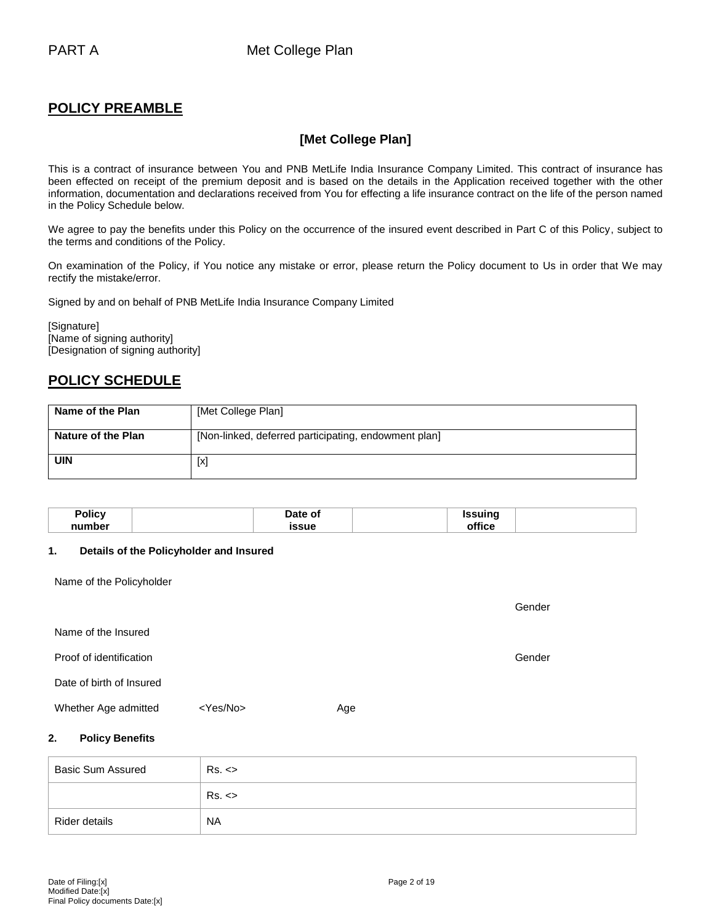# **POLICY PREAMBLE**

# **[Met College Plan]**

This is a contract of insurance between You and PNB MetLife India Insurance Company Limited. This contract of insurance has been effected on receipt of the premium deposit and is based on the details in the Application received together with the other information, documentation and declarations received from You for effecting a life insurance contract on the life of the person named in the Policy Schedule below.

We agree to pay the benefits under this Policy on the occurrence of the insured event described in Part C of this Policy, subject to the terms and conditions of the Policy.

On examination of the Policy, if You notice any mistake or error, please return the Policy document to Us in order that We may rectify the mistake/error.

Signed by and on behalf of PNB MetLife India Insurance Company Limited

[Signature] [Name of signing authority] [Designation of signing authority]

# **POLICY SCHEDULE**

| Name of the Plan   | [Met College Plan]                                   |
|--------------------|------------------------------------------------------|
| Nature of the Plan | [Non-linked, deferred participating, endowment plan] |
| UIN                | [x]                                                  |

| Policy | Date of | Issuina |  |
|--------|---------|---------|--|
| number | issue   | tic∈    |  |

### **1. Details of the Policyholder and Insured**

Name of the Policyholder

|                          |                |     | Gender |
|--------------------------|----------------|-----|--------|
| Name of the Insured      |                |     |        |
| Proof of identification  |                |     | Gender |
| Date of birth of Insured |                |     |        |
| Whether Age admitted     | $<$ Yes/No $>$ | Age |        |

## **2. Policy Benefits**

| <b>Basic Sum Assured</b> | Rs. <     |
|--------------------------|-----------|
|                          | Rs. <     |
| Rider details            | <b>NA</b> |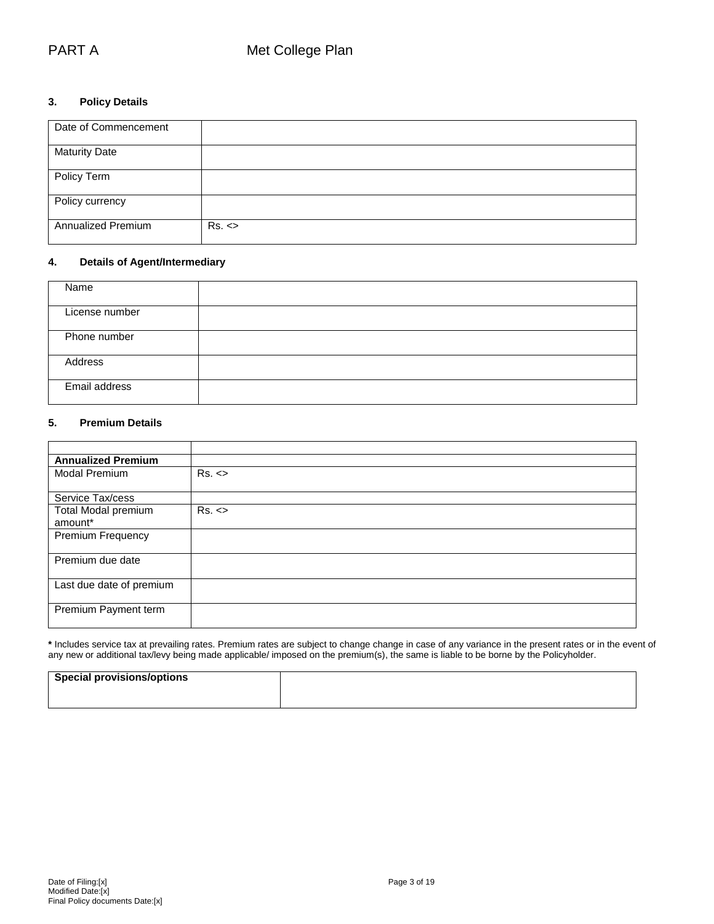## **3. Policy Details**

| Date of Commencement      |       |
|---------------------------|-------|
| <b>Maturity Date</b>      |       |
| Policy Term               |       |
| Policy currency           |       |
| <b>Annualized Premium</b> | Rs. < |

## **4. Details of Agent/Intermediary**

| Name           |  |
|----------------|--|
| License number |  |
| Phone number   |  |
| Address        |  |
| Email address  |  |

## **5. Premium Details**

| <b>Annualized Premium</b>             |       |
|---------------------------------------|-------|
| Modal Premium                         | Rs. < |
| Service Tax/cess                      |       |
| <b>Total Modal premium</b><br>amount* | Rs. < |
| Premium Frequency                     |       |
| Premium due date                      |       |
| Last due date of premium              |       |
| Premium Payment term                  |       |

**\*** Includes service tax at prevailing rates. Premium rates are subject to change change in case of any variance in the present rates or in the event of any new or additional tax/levy being made applicable/ imposed on the premium(s), the same is liable to be borne by the Policyholder.

| <b>Special provisions/options</b> |  |
|-----------------------------------|--|
|                                   |  |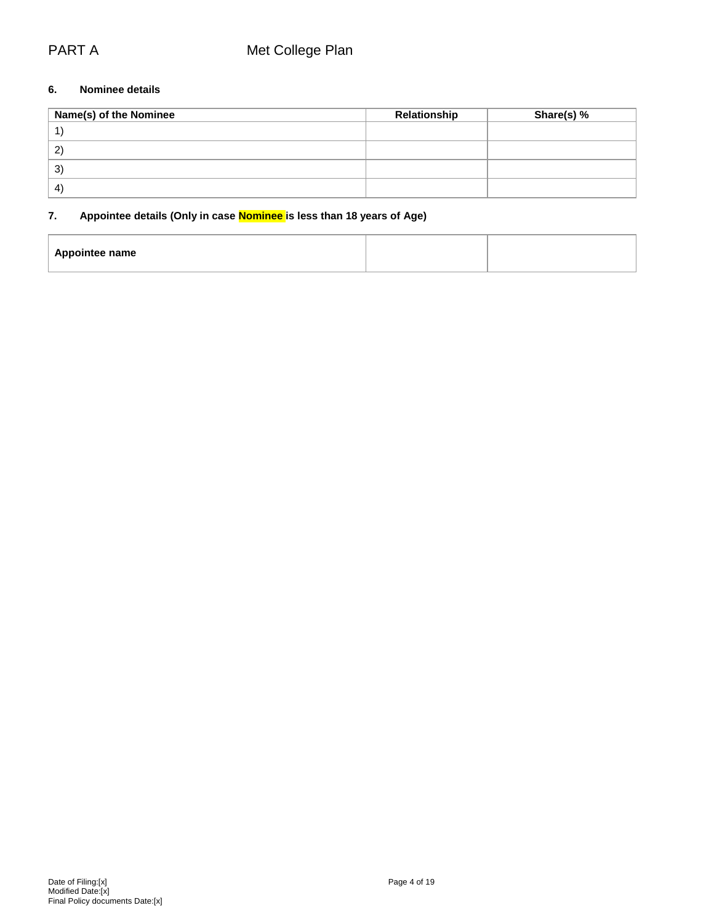## **6. Nominee details**

| Name(s) of the Nominee       | Relationship | Share(s) % |
|------------------------------|--------------|------------|
|                              |              |            |
| 2                            |              |            |
| 3)                           |              |            |
| $\left( \frac{1}{2} \right)$ |              |            |

# **7. Appointee details (Only in case Nominee is less than 18 years of Age)**

| <b>Appointee name</b> |  |
|-----------------------|--|
|                       |  |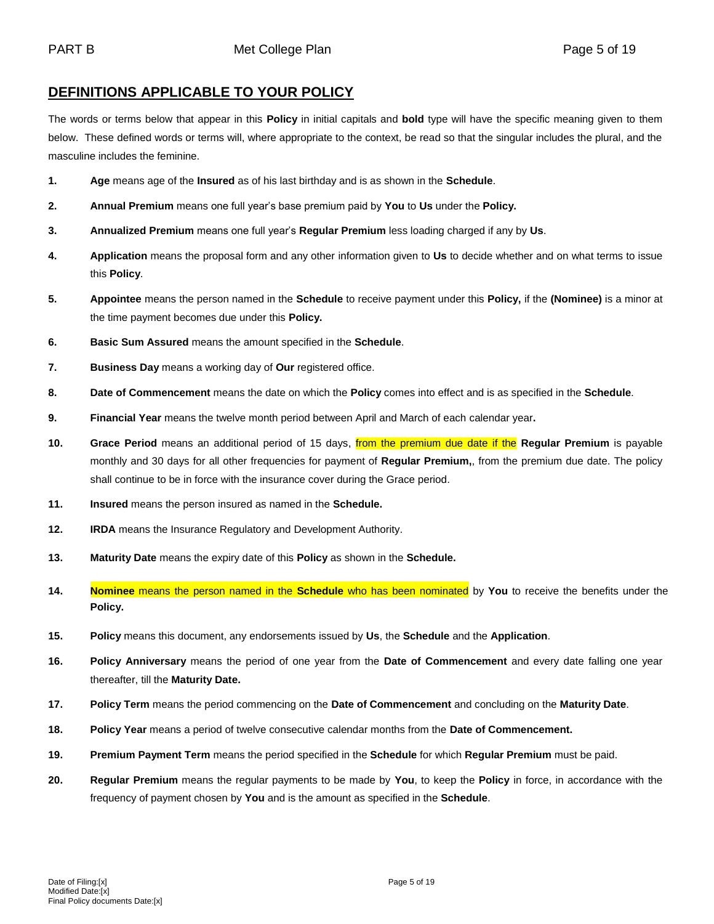# **DEFINITIONS APPLICABLE TO YOUR POLICY**

The words or terms below that appear in this **Policy** in initial capitals and **bold** type will have the specific meaning given to them below. These defined words or terms will, where appropriate to the context, be read so that the singular includes the plural, and the masculine includes the feminine.

- **1. Age** means age of the **Insured** as of his last birthday and is as shown in the **Schedule**.
- **2. Annual Premium** means one full year's base premium paid by **You** to **Us** under the **Policy.**
- **3. Annualized Premium** means one full year's **Regular Premium** less loading charged if any by **Us**.
- **4. Application** means the proposal form and any other information given to **Us** to decide whether and on what terms to issue this **Policy**.
- **5. Appointee** means the person named in the **Schedule** to receive payment under this **Policy,** if the **(Nominee)** is a minor at the time payment becomes due under this **Policy.**
- **6. Basic Sum Assured** means the amount specified in the **Schedule**.
- **7. Business Day** means a working day of **Our** registered office.
- **8. Date of Commencement** means the date on which the **Policy** comes into effect and is as specified in the **Schedule**.
- **9. Financial Year** means the twelve month period between April and March of each calendar year**.**
- **10. Grace Period** means an additional period of 15 days, from the premium due date if the **Regular Premium** is payable monthly and 30 days for all other frequencies for payment of **Regular Premium,**, from the premium due date. The policy shall continue to be in force with the insurance cover during the Grace period.
- **11. Insured** means the person insured as named in the **Schedule.**
- **12. IRDA** means the Insurance Regulatory and Development Authority.
- **13. Maturity Date** means the expiry date of this **Policy** as shown in the **Schedule.**
- **14. Nominee** means the person named in the **Schedule** who has been nominated by **You** to receive the benefits under the **Policy.**
- **15. Policy** means this document, any endorsements issued by **Us**, the **Schedule** and the **Application**.
- **16. Policy Anniversary** means the period of one year from the **Date of Commencement** and every date falling one year thereafter, till the **Maturity Date.**
- **17. Policy Term** means the period commencing on the **Date of Commencement** and concluding on the **Maturity Date**.
- **18. Policy Year** means a period of twelve consecutive calendar months from the **Date of Commencement.**
- **19. Premium Payment Term** means the period specified in the **Schedule** for which **Regular Premium** must be paid.
- **20. Regular Premium** means the regular payments to be made by **You**, to keep the **Policy** in force, in accordance with the frequency of payment chosen by **You** and is the amount as specified in the **Schedule**.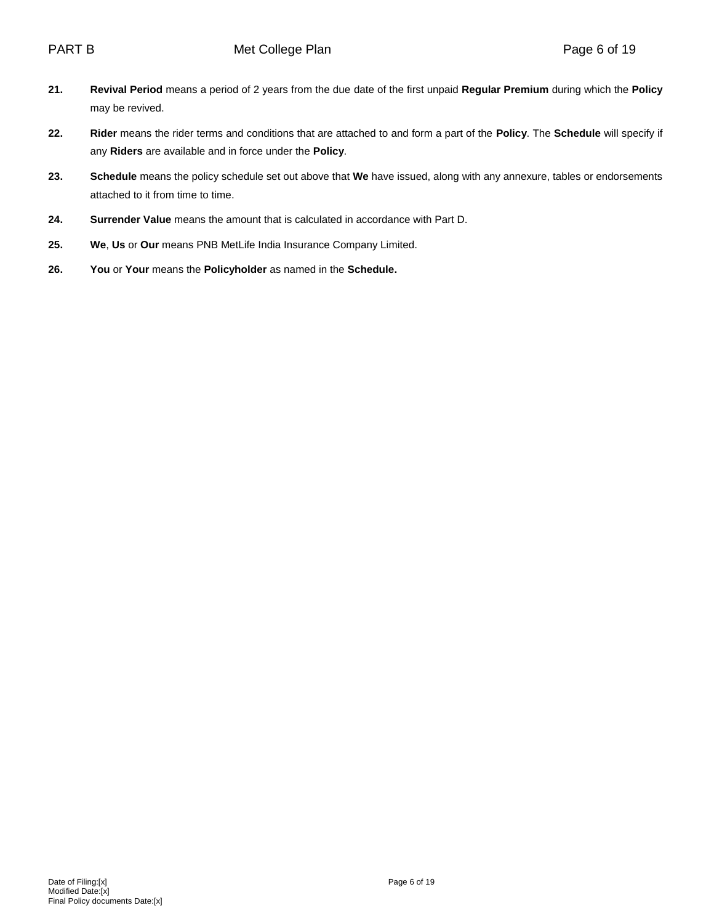- **21. Revival Period** means a period of 2 years from the due date of the first unpaid **Regular Premium** during which the **Policy** may be revived.
- **22. Rider** means the rider terms and conditions that are attached to and form a part of the **Policy**. The **Schedule** will specify if any **Riders** are available and in force under the **Policy**.
- **23. Schedule** means the policy schedule set out above that **We** have issued, along with any annexure, tables or endorsements attached to it from time to time.
- **24. Surrender Value** means the amount that is calculated in accordance with Part D.
- **25. We**, **Us** or **Our** means PNB MetLife India Insurance Company Limited.
- **26. You** or **Your** means the **Policyholder** as named in the **Schedule.**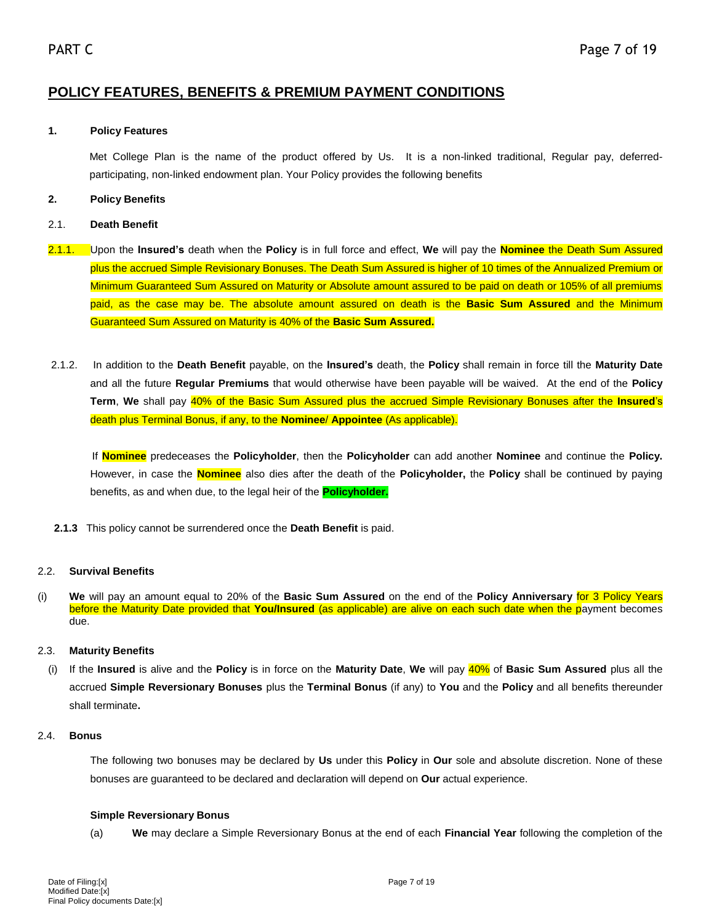# **POLICY FEATURES, BENEFITS & PREMIUM PAYMENT CONDITIONS**

## **1. Policy Features**

Met College Plan is the name of the product offered by Us. It is a non-linked traditional, Regular pay, deferredparticipating, non-linked endowment plan. Your Policy provides the following benefits

## **2. Policy Benefits**

## 2.1. **Death Benefit**

- 2.1.1. Upon the **Insured's** death when the **Policy** is in full force and effect, **We** will pay the **Nominee** the Death Sum Assured plus the accrued Simple Revisionary Bonuses. The Death Sum Assured is higher of 10 times of the Annualized Premium or Minimum Guaranteed Sum Assured on Maturity or Absolute amount assured to be paid on death or 105% of all premiums paid, as the case may be. The absolute amount assured on death is the **Basic Sum Assured** and the Minimum Guaranteed Sum Assured on Maturity is 40% of the **Basic Sum Assured.**
- 2.1.2. In addition to the **Death Benefit** payable, on the **Insured's** death, the **Policy** shall remain in force till the **Maturity Date** and all the future **Regular Premiums** that would otherwise have been payable will be waived. At the end of the **Policy Term**, **We** shall pay 40% of the Basic Sum Assured plus the accrued Simple Revisionary Bonuses after the **Insured**'s death plus Terminal Bonus, if any, to the **Nominee**/ **Appointee** (As applicable).

 If **Nominee** predeceases the **Policyholder**, then the **Policyholder** can add another **Nominee** and continue the **Policy.** However, in case the **Nominee** also dies after the death of the **Policyholder,** the **Policy** shall be continued by paying benefits, as and when due, to the legal heir of the **Policyholder.**

 **2.1.3** This policy cannot be surrendered once the **Death Benefit** is paid.

## 2.2. **Survival Benefits**

(i) **We** will pay an amount equal to 20% of the **Basic Sum Assured** on the end of the **Policy Anniversary** for 3 Policy Years before the Maturity Date provided that **You/Insured** (as applicable) are alive on each such date when the payment becomes due.

### 2.3. **Maturity Benefits**

(i) If the **Insured** is alive and the **Policy** is in force on the **Maturity Date**, **We** will pay 40% of **Basic Sum Assured** plus all the accrued **Simple Reversionary Bonuses** plus the **Terminal Bonus** (if any) to **You** and the **Policy** and all benefits thereunder shall terminate**.**

### 2.4. **Bonus**

The following two bonuses may be declared by **Us** under this **Policy** in **Our** sole and absolute discretion. None of these bonuses are guaranteed to be declared and declaration will depend on **Our** actual experience.

### **Simple Reversionary Bonus**

(a) **We** may declare a Simple Reversionary Bonus at the end of each **Financial Year** following the completion of the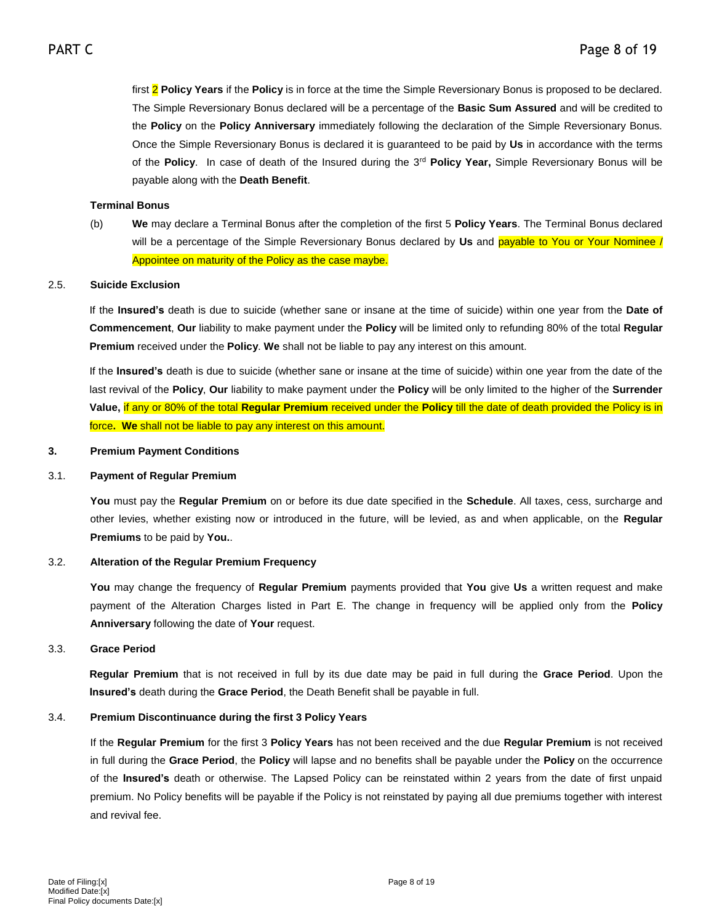first 2 **Policy Years** if the **Policy** is in force at the time the Simple Reversionary Bonus is proposed to be declared. The Simple Reversionary Bonus declared will be a percentage of the **Basic Sum Assured** and will be credited to the **Policy** on the **Policy Anniversary** immediately following the declaration of the Simple Reversionary Bonus. Once the Simple Reversionary Bonus is declared it is guaranteed to be paid by **Us** in accordance with the terms of the **Policy**. In case of death of the Insured during the 3rd **Policy Year,** Simple Reversionary Bonus will be payable along with the **Death Benefit**.

## **Terminal Bonus**

(b) **We** may declare a Terminal Bonus after the completion of the first 5 **Policy Years**. The Terminal Bonus declared will be a percentage of the Simple Reversionary Bonus declared by **Us** and payable to You or Your Nominee / Appointee on maturity of the Policy as the case maybe.

### 2.5. **Suicide Exclusion**

If the **Insured's** death is due to suicide (whether sane or insane at the time of suicide) within one year from the **Date of Commencement**, **Our** liability to make payment under the **Policy** will be limited only to refunding 80% of the total **Regular Premium** received under the **Policy**. **We** shall not be liable to pay any interest on this amount.

If the **Insured's** death is due to suicide (whether sane or insane at the time of suicide) within one year from the date of the last revival of the **Policy**, **Our** liability to make payment under the **Policy** will be only limited to the higher of the **Surrender Value,** if any or 80% of the total **Regular Premium** received under the **Policy** till the date of death provided the Policy is in force**. We** shall not be liable to pay any interest on this amount.

## **3. Premium Payment Conditions**

### 3.1. **Payment of Regular Premium**

**You** must pay the **Regular Premium** on or before its due date specified in the **Schedule**. All taxes, cess, surcharge and other levies, whether existing now or introduced in the future, will be levied, as and when applicable, on the **Regular Premiums** to be paid by **You.**.

### 3.2. **Alteration of the Regular Premium Frequency**

**You** may change the frequency of **Regular Premium** payments provided that **You** give **Us** a written request and make payment of the Alteration Charges listed in Part E. The change in frequency will be applied only from the **Policy Anniversary** following the date of **Your** request.

## 3.3. **Grace Period**

**Regular Premium** that is not received in full by its due date may be paid in full during the **Grace Period**. Upon the **Insured's** death during the **Grace Period**, the Death Benefit shall be payable in full.

### 3.4. **Premium Discontinuance during the first 3 Policy Years**

If the **Regular Premium** for the first 3 **Policy Years** has not been received and the due **Regular Premium** is not received in full during the **Grace Period**, the **Policy** will lapse and no benefits shall be payable under the **Policy** on the occurrence of the **Insured's** death or otherwise. The Lapsed Policy can be reinstated within 2 years from the date of first unpaid premium. No Policy benefits will be payable if the Policy is not reinstated by paying all due premiums together with interest and revival fee.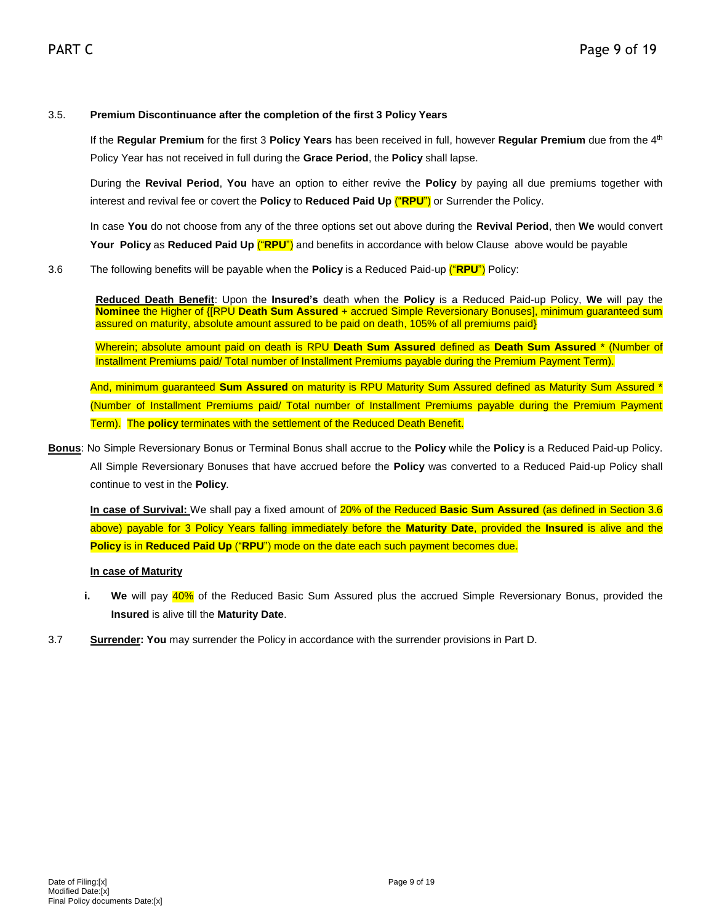## 3.5. **Premium Discontinuance after the completion of the first 3 Policy Years**

If the **Regular Premium** for the first 3 **Policy Years** has been received in full, however **Regular Premium** due from the 4th Policy Year has not received in full during the **Grace Period**, the **Policy** shall lapse.

During the **Revival Period**, **You** have an option to either revive the **Policy** by paying all due premiums together with interest and revival fee or covert the **Policy** to **Reduced Paid Up** ("**RPU**") or Surrender the Policy.

In case **You** do not choose from any of the three options set out above during the **Revival Period**, then **We** would convert **Your Policy** as **Reduced Paid Up** ("**RPU**") and benefits in accordance with below Clause above would be payable

3.6 The following benefits will be payable when the **Policy** is a Reduced Paid-up ("**RPU**") Policy:

**Reduced Death Benefit**: Upon the **Insured's** death when the **Policy** is a Reduced Paid-up Policy, **We** will pay the **Nominee** the Higher of {[RPU **Death Sum Assured** + accrued Simple Reversionary Bonuses], minimum guaranteed sum assured on maturity, absolute amount assured to be paid on death, 105% of all premiums paid}

Wherein; absolute amount paid on death is RPU **Death Sum Assured** defined as **Death Sum Assured** \* (Number of Installment Premiums paid/ Total number of Installment Premiums payable during the Premium Payment Term).

And, minimum guaranteed **Sum Assured** on maturity is RPU Maturity Sum Assured defined as Maturity Sum Assured \* (Number of Installment Premiums paid/ Total number of Installment Premiums payable during the Premium Payment Term). The **policy** terminates with the settlement of the Reduced Death Benefit.

**Bonus**: No Simple Reversionary Bonus or Terminal Bonus shall accrue to the **Policy** while the **Policy** is a Reduced Paid-up Policy. All Simple Reversionary Bonuses that have accrued before the **Policy** was converted to a Reduced Paid-up Policy shall continue to vest in the **Policy**.

**In case of Survival:** We shall pay a fixed amount of 20% of the Reduced **Basic Sum Assured** (as defined in Section 3.6 above) payable for 3 Policy Years falling immediately before the **Maturity Date**, provided the **Insured** is alive and the **Policy** is in **Reduced Paid Up** ("**RPU**") mode on the date each such payment becomes due.

## **In case of Maturity**

- **i.** We will pay 40% of the Reduced Basic Sum Assured plus the accrued Simple Reversionary Bonus, provided the **Insured** is alive till the **Maturity Date**.
- 3.7 **Surrender: You** may surrender the Policy in accordance with the surrender provisions in Part D.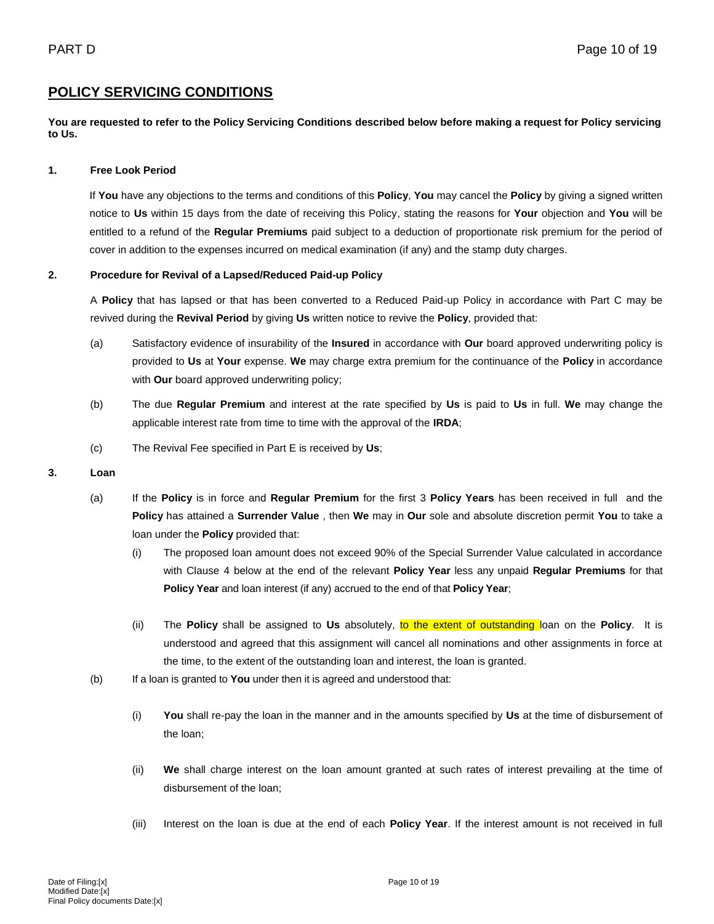## **POLICY SERVICING CONDITIONS**

**You are requested to refer to the Policy Servicing Conditions described below before making a request for Policy servicing to Us.**

## **1. Free Look Period**

If **You** have any objections to the terms and conditions of this **Policy**, **You** may cancel the **Policy** by giving a signed written notice to **Us** within 15 days from the date of receiving this Policy, stating the reasons for **Your** objection and **You** will be entitled to a refund of the **Regular Premiums** paid subject to a deduction of proportionate risk premium for the period of cover in addition to the expenses incurred on medical examination (if any) and the stamp duty charges.

## **2. Procedure for Revival of a Lapsed/Reduced Paid-up Policy**

A **Policy** that has lapsed or that has been converted to a Reduced Paid-up Policy in accordance with Part C may be revived during the **Revival Period** by giving **Us** written notice to revive the **Policy**, provided that:

- (a) Satisfactory evidence of insurability of the **Insured** in accordance with **Our** board approved underwriting policy is provided to **Us** at **Your** expense. **We** may charge extra premium for the continuance of the **Policy** in accordance with **Our** board approved underwriting policy;
- (b) The due **Regular Premium** and interest at the rate specified by **Us** is paid to **Us** in full. **We** may change the applicable interest rate from time to time with the approval of the **IRDA**;
- (c) The Revival Fee specified in Part E is received by **Us**;

### **3. Loan**

- (a) If the **Policy** is in force and **Regular Premium** for the first 3 **Policy Years** has been received in full and the **Policy** has attained a **Surrender Value** , then **We** may in **Our** sole and absolute discretion permit **You** to take a loan under the **Policy** provided that:
	- (i) The proposed loan amount does not exceed 90% of the Special Surrender Value calculated in accordance with Clause 4 below at the end of the relevant **Policy Year** less any unpaid **Regular Premiums** for that **Policy Year** and loan interest (if any) accrued to the end of that **Policy Year**;
	- (ii) The **Policy** shall be assigned to **Us** absolutely, to the extent of outstanding loan on the **Policy**. It is understood and agreed that this assignment will cancel all nominations and other assignments in force at the time, to the extent of the outstanding loan and interest, the loan is granted.
- (b) If a loan is granted to **You** under then it is agreed and understood that:
	- (i) **You** shall re-pay the loan in the manner and in the amounts specified by **Us** at the time of disbursement of the loan;
	- (ii) **We** shall charge interest on the loan amount granted at such rates of interest prevailing at the time of disbursement of the loan;
	- (iii) Interest on the loan is due at the end of each **Policy Year**. If the interest amount is not received in full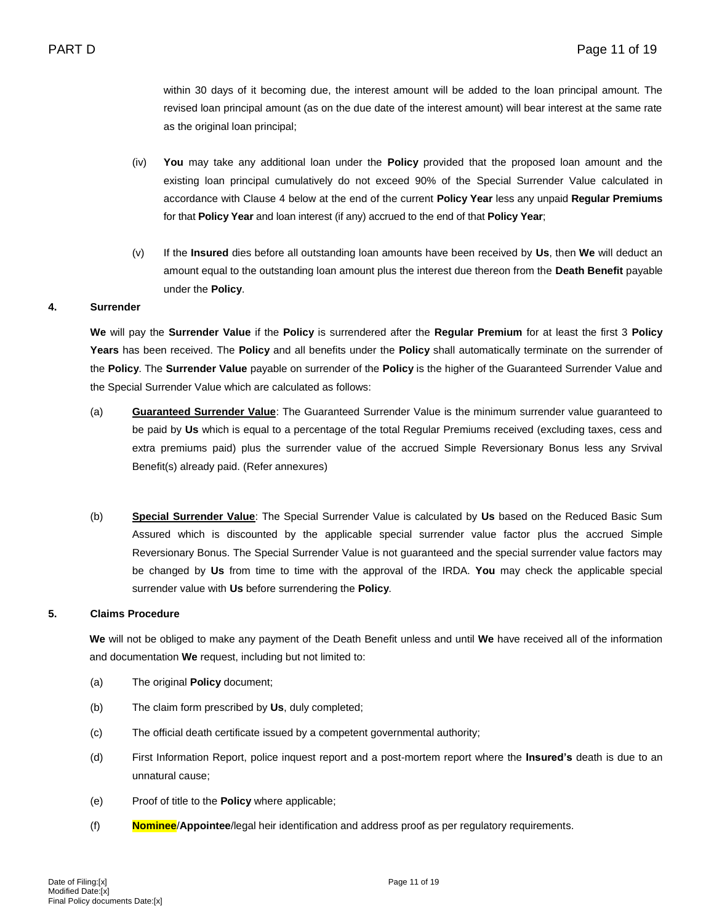within 30 days of it becoming due, the interest amount will be added to the loan principal amount. The revised loan principal amount (as on the due date of the interest amount) will bear interest at the same rate as the original loan principal;

- (iv) **You** may take any additional loan under the **Policy** provided that the proposed loan amount and the existing loan principal cumulatively do not exceed 90% of the Special Surrender Value calculated in accordance with Clause 4 below at the end of the current **Policy Year** less any unpaid **Regular Premiums** for that **Policy Year** and loan interest (if any) accrued to the end of that **Policy Year**;
- (v) If the **Insured** dies before all outstanding loan amounts have been received by **Us**, then **We** will deduct an amount equal to the outstanding loan amount plus the interest due thereon from the **Death Benefit** payable under the **Policy**.

## **4. Surrender**

**We** will pay the **Surrender Value** if the **Policy** is surrendered after the **Regular Premium** for at least the first 3 **Policy Years** has been received. The **Policy** and all benefits under the **Policy** shall automatically terminate on the surrender of the **Policy**. The **Surrender Value** payable on surrender of the **Policy** is the higher of the Guaranteed Surrender Value and the Special Surrender Value which are calculated as follows:

- (a) **Guaranteed Surrender Value**: The Guaranteed Surrender Value is the minimum surrender value guaranteed to be paid by **Us** which is equal to a percentage of the total Regular Premiums received (excluding taxes, cess and extra premiums paid) plus the surrender value of the accrued Simple Reversionary Bonus less any Srvival Benefit(s) already paid. (Refer annexures)
- (b) **Special Surrender Value**: The Special Surrender Value is calculated by **Us** based on the Reduced Basic Sum Assured which is discounted by the applicable special surrender value factor plus the accrued Simple Reversionary Bonus. The Special Surrender Value is not guaranteed and the special surrender value factors may be changed by **Us** from time to time with the approval of the IRDA. **You** may check the applicable special surrender value with **Us** before surrendering the **Policy**.

### **5. Claims Procedure**

**We** will not be obliged to make any payment of the Death Benefit unless and until **We** have received all of the information and documentation **We** request, including but not limited to:

- (a) The original **Policy** document;
- (b) The claim form prescribed by **Us**, duly completed;
- (c) The official death certificate issued by a competent governmental authority;
- (d) First Information Report, police inquest report and a post-mortem report where the **Insured's** death is due to an unnatural cause;
- (e) Proof of title to the **Policy** where applicable;
- (f) **Nominee**/**Appointee**/legal heir identification and address proof as per regulatory requirements.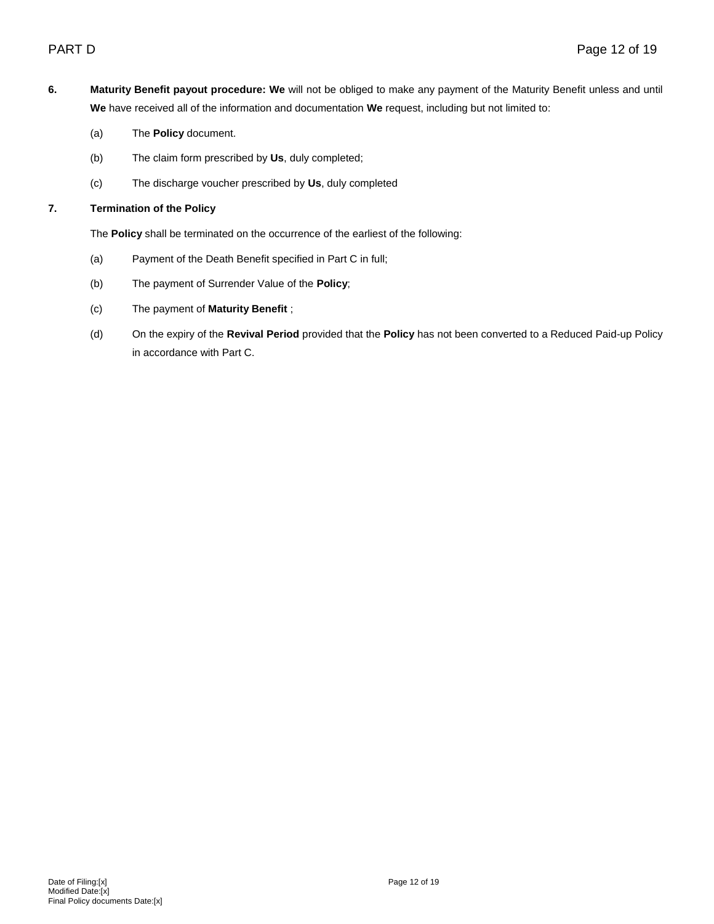- **6. Maturity Benefit payout procedure: We** will not be obliged to make any payment of the Maturity Benefit unless and until **We** have received all of the information and documentation **We** request, including but not limited to:
	- (a) The **Policy** document.
	- (b) The claim form prescribed by **Us**, duly completed;
	- (c) The discharge voucher prescribed by **Us**, duly completed

## **7. Termination of the Policy**

The **Policy** shall be terminated on the occurrence of the earliest of the following:

- (a) Payment of the Death Benefit specified in Part C in full;
- (b) The payment of Surrender Value of the **Policy**;
- (c) The payment of **Maturity Benefit** ;
- (d) On the expiry of the **Revival Period** provided that the **Policy** has not been converted to a Reduced Paid-up Policy in accordance with Part C.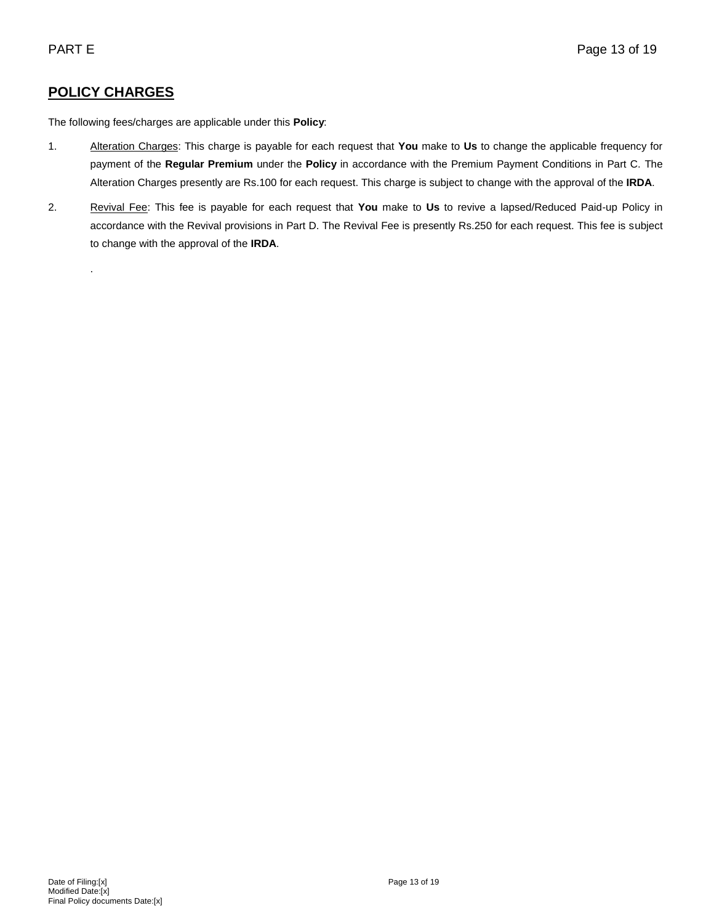# **POLICY CHARGES**

.

The following fees/charges are applicable under this **Policy**:

- 1. Alteration Charges: This charge is payable for each request that **You** make to **Us** to change the applicable frequency for payment of the **Regular Premium** under the **Policy** in accordance with the Premium Payment Conditions in Part C. The Alteration Charges presently are Rs.100 for each request. This charge is subject to change with the approval of the **IRDA**.
- 2. Revival Fee: This fee is payable for each request that **You** make to **Us** to revive a lapsed/Reduced Paid-up Policy in accordance with the Revival provisions in Part D. The Revival Fee is presently Rs.250 for each request. This fee is subject to change with the approval of the **IRDA**.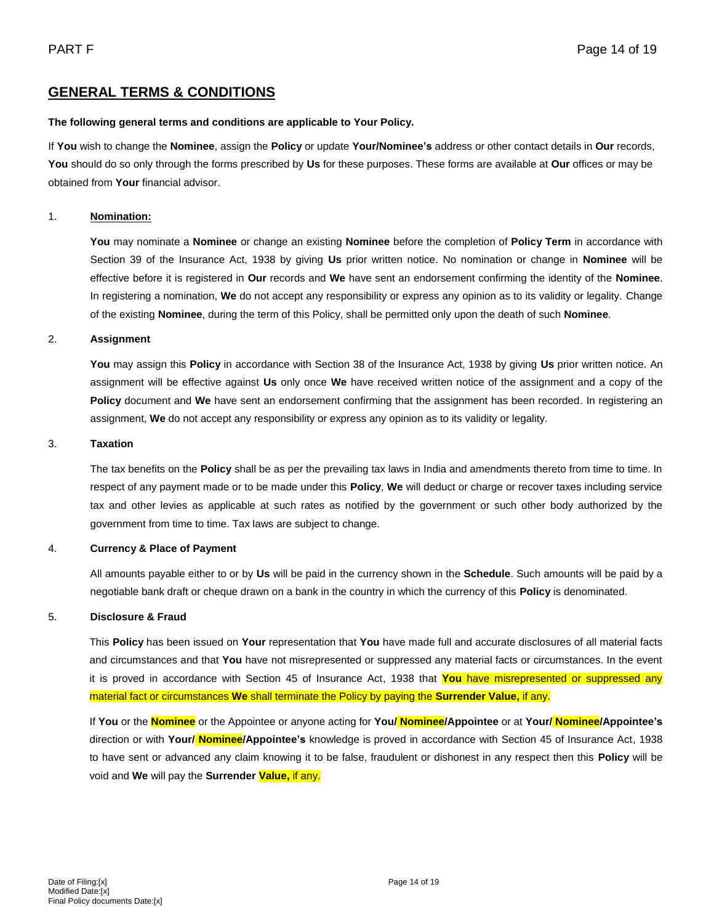## **GENERAL TERMS & CONDITIONS**

## **The following general terms and conditions are applicable to Your Policy.**

If **You** wish to change the **Nominee**, assign the **Policy** or update **Your/Nominee's** address or other contact details in **Our** records, **You** should do so only through the forms prescribed by **Us** for these purposes. These forms are available at **Our** offices or may be obtained from **Your** financial advisor.

## 1. **Nomination:**

**You** may nominate a **Nominee** or change an existing **Nominee** before the completion of **Policy Term** in accordance with Section 39 of the Insurance Act, 1938 by giving **Us** prior written notice. No nomination or change in **Nominee** will be effective before it is registered in **Our** records and **We** have sent an endorsement confirming the identity of the **Nominee**. In registering a nomination, **We** do not accept any responsibility or express any opinion as to its validity or legality. Change of the existing **Nominee**, during the term of this Policy, shall be permitted only upon the death of such **Nominee**.

## 2. **Assignment**

**You** may assign this **Policy** in accordance with Section 38 of the Insurance Act, 1938 by giving **Us** prior written notice. An assignment will be effective against **Us** only once **We** have received written notice of the assignment and a copy of the **Policy** document and **We** have sent an endorsement confirming that the assignment has been recorded. In registering an assignment, **We** do not accept any responsibility or express any opinion as to its validity or legality.

## 3. **Taxation**

The tax benefits on the **Policy** shall be as per the prevailing tax laws in India and amendments thereto from time to time. In respect of any payment made or to be made under this **Policy**, **We** will deduct or charge or recover taxes including service tax and other levies as applicable at such rates as notified by the government or such other body authorized by the government from time to time. Tax laws are subject to change.

## 4. **Currency & Place of Payment**

All amounts payable either to or by **Us** will be paid in the currency shown in the **Schedule**. Such amounts will be paid by a negotiable bank draft or cheque drawn on a bank in the country in which the currency of this **Policy** is denominated.

### 5. **Disclosure & Fraud**

This **Policy** has been issued on **Your** representation that **You** have made full and accurate disclosures of all material facts and circumstances and that **You** have not misrepresented or suppressed any material facts or circumstances. In the event it is proved in accordance with Section 45 of Insurance Act, 1938 that **You** have misrepresented or suppressed any material fact or circumstances **We** shall terminate the Policy by paying the **Surrender Value,** if any.

If **You** or the **Nominee** or the Appointee or anyone acting for **You/ Nominee/Appointee** or at **Your/ Nominee/Appointee's** direction or with **Your/ Nominee/Appointee's** knowledge is proved in accordance with Section 45 of Insurance Act, 1938 to have sent or advanced any claim knowing it to be false, fraudulent or dishonest in any respect then this **Policy** will be void and **We** will pay the **Surrender Value,** if any.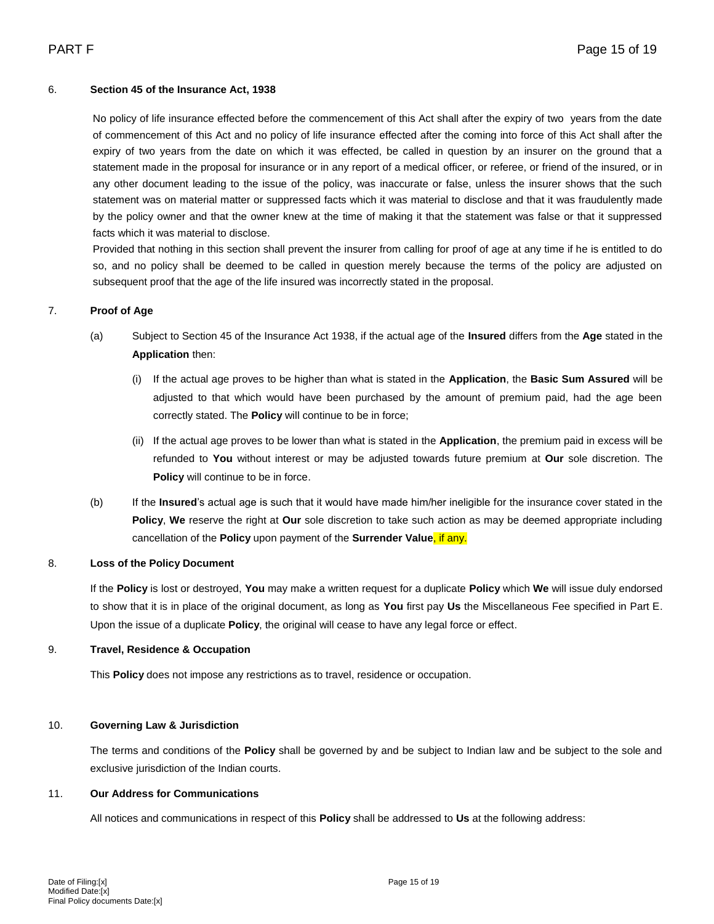## 6. **Section 45 of the Insurance Act, 1938**

No policy of life insurance effected before the commencement of this Act shall after the expiry of two years from the date of commencement of this Act and no policy of life insurance effected after the coming into force of this Act shall after the expiry of two years from the date on which it was effected, be called in question by an insurer on the ground that a statement made in the proposal for insurance or in any report of a medical officer, or referee, or friend of the insured, or in any other document leading to the issue of the policy, was inaccurate or false, unless the insurer shows that the such statement was on material matter or suppressed facts which it was material to disclose and that it was fraudulently made by the policy owner and that the owner knew at the time of making it that the statement was false or that it suppressed facts which it was material to disclose.

Provided that nothing in this section shall prevent the insurer from calling for proof of age at any time if he is entitled to do so, and no policy shall be deemed to be called in question merely because the terms of the policy are adjusted on subsequent proof that the age of the life insured was incorrectly stated in the proposal.

## 7. **Proof of Age**

- (a) Subject to Section 45 of the Insurance Act 1938, if the actual age of the **Insured** differs from the **Age** stated in the **Application** then:
	- (i) If the actual age proves to be higher than what is stated in the **Application**, the **Basic Sum Assured** will be adjusted to that which would have been purchased by the amount of premium paid, had the age been correctly stated. The **Policy** will continue to be in force;
	- (ii) If the actual age proves to be lower than what is stated in the **Application**, the premium paid in excess will be refunded to **You** without interest or may be adjusted towards future premium at **Our** sole discretion. The **Policy** will continue to be in force.
- (b) If the **Insured**'s actual age is such that it would have made him/her ineligible for the insurance cover stated in the **Policy**, **We** reserve the right at **Our** sole discretion to take such action as may be deemed appropriate including cancellation of the **Policy** upon payment of the **Surrender Value**, if any.

## 8. **Loss of the Policy Document**

If the **Policy** is lost or destroyed, **You** may make a written request for a duplicate **Policy** which **We** will issue duly endorsed to show that it is in place of the original document, as long as **You** first pay **Us** the Miscellaneous Fee specified in Part E. Upon the issue of a duplicate **Policy**, the original will cease to have any legal force or effect.

## 9. **Travel, Residence & Occupation**

This **Policy** does not impose any restrictions as to travel, residence or occupation.

## 10. **Governing Law & Jurisdiction**

The terms and conditions of the **Policy** shall be governed by and be subject to Indian law and be subject to the sole and exclusive jurisdiction of the Indian courts.

## 11. **Our Address for Communications**

All notices and communications in respect of this **Policy** shall be addressed to **Us** at the following address: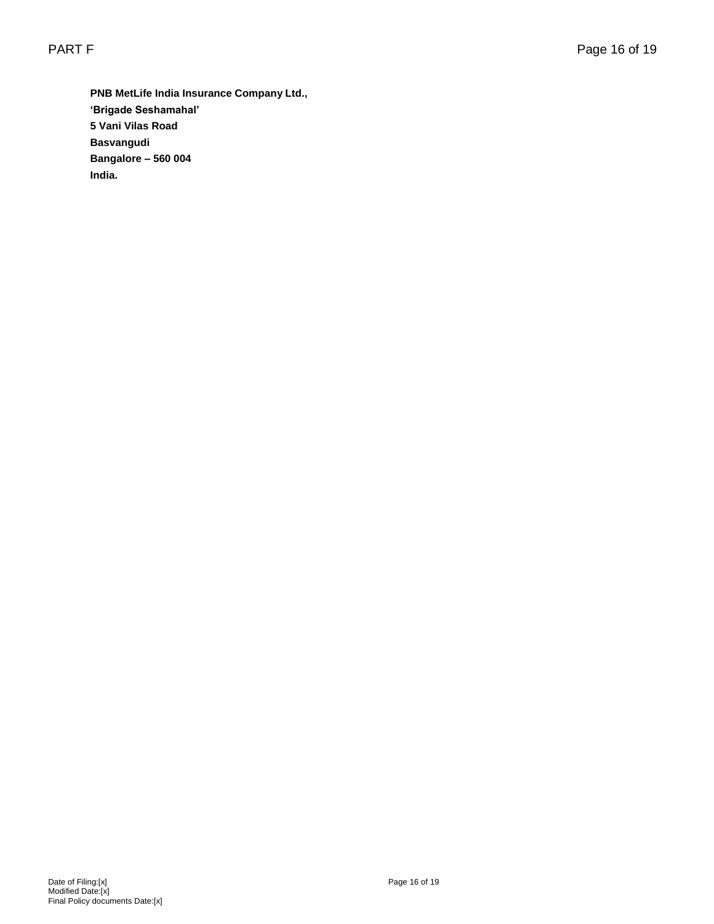**PNB MetLife India Insurance Company Ltd., 'Brigade Seshamahal' 5 Vani Vilas Road Basvangudi Bangalore – 560 004 India.**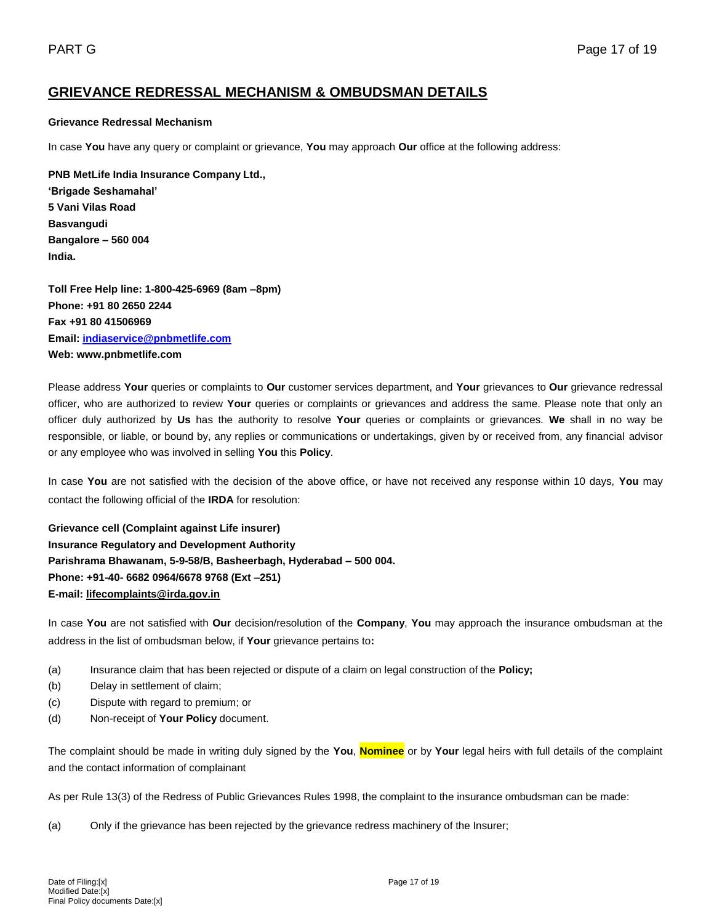## **GRIEVANCE REDRESSAL MECHANISM & OMBUDSMAN DETAILS**

## **Grievance Redressal Mechanism**

In case **You** have any query or complaint or grievance, **You** may approach **Our** office at the following address:

**PNB MetLife India Insurance Company Ltd., 'Brigade Seshamahal' 5 Vani Vilas Road Basvangudi Bangalore – 560 004 India.** 

**Toll Free Help line: 1-800-425-6969 (8am –8pm) Phone: +91 80 2650 2244 Fax +91 80 41506969 Email: [indiaservice@pnbmetlife.com](mailto:indiaservice@pnbmetlife.com) Web: www.pnbmetlife.com** 

Please address **Your** queries or complaints to **Our** customer services department, and **Your** grievances to **Our** grievance redressal officer, who are authorized to review **Your** queries or complaints or grievances and address the same. Please note that only an officer duly authorized by **Us** has the authority to resolve **Your** queries or complaints or grievances. **We** shall in no way be responsible, or liable, or bound by, any replies or communications or undertakings, given by or received from, any financial advisor or any employee who was involved in selling **You** this **Policy**.

In case **You** are not satisfied with the decision of the above office, or have not received any response within 10 days, **You** may contact the following official of the **IRDA** for resolution:

**Grievance cell (Complaint against Life insurer) Insurance Regulatory and Development Authority Parishrama Bhawanam, 5-9-58/B, Basheerbagh, Hyderabad – 500 004. Phone: +91-40- 6682 0964/6678 9768 (Ext –251) E-mail: [lifecomplaints@irda.gov.in](mailto:lifecomplaints@irda.gov.in)**

In case **You** are not satisfied with **Our** decision/resolution of the **Company**, **You** may approach the insurance ombudsman at the address in the list of ombudsman below, if **Your** grievance pertains to**:**

- (a) Insurance claim that has been rejected or dispute of a claim on legal construction of the **Policy;**
- (b) Delay in settlement of claim;
- (c) Dispute with regard to premium; or
- (d) Non-receipt of **Your Policy** document.

The complaint should be made in writing duly signed by the **You**, **Nominee** or by **Your** legal heirs with full details of the complaint and the contact information of complainant

As per Rule 13(3) of the Redress of Public Grievances Rules 1998, the complaint to the insurance ombudsman can be made:

(a) Only if the grievance has been rejected by the grievance redress machinery of the Insurer;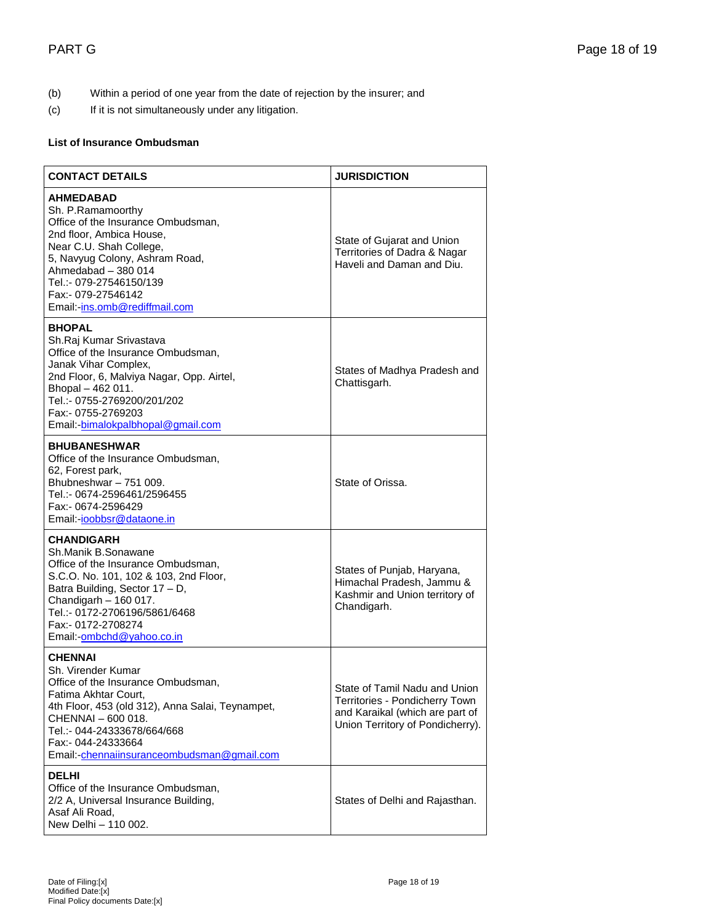- (b) Within a period of one year from the date of rejection by the insurer; and
- (c) If it is not simultaneously under any litigation.

## **List of Insurance Ombudsman**

| <b>CONTACT DETAILS</b>                                                                                                                                                                                                                                                          | <b>JURISDICTION</b>                                                                                                                    |  |
|---------------------------------------------------------------------------------------------------------------------------------------------------------------------------------------------------------------------------------------------------------------------------------|----------------------------------------------------------------------------------------------------------------------------------------|--|
| <b>AHMEDABAD</b><br>Sh. P.Ramamoorthy<br>Office of the Insurance Ombudsman,<br>2nd floor, Ambica House,<br>Near C.U. Shah College,<br>5, Navyug Colony, Ashram Road,<br>Ahmedabad - 380 014<br>Tel.:- 079-27546150/139<br>Fax: - 079-27546142<br>Email:-ins.omb@rediffmail.com  | State of Gujarat and Union<br>Territories of Dadra & Nagar<br>Haveli and Daman and Diu.                                                |  |
| <b>BHOPAL</b><br>Sh.Raj Kumar Srivastava<br>Office of the Insurance Ombudsman,<br>Janak Vihar Complex,<br>2nd Floor, 6, Malviya Nagar, Opp. Airtel,<br>Bhopal - 462 011.<br>Tel.:- 0755-2769200/201/202<br>Fax:- 0755-2769203<br>Email:-bimalokpalbhopal@gmail.com              | States of Madhya Pradesh and<br>Chattisgarh.                                                                                           |  |
| <b>BHUBANESHWAR</b><br>Office of the Insurance Ombudsman,<br>62, Forest park,<br>Bhubneshwar - 751 009.<br>Tel.:- 0674-2596461/2596455<br>Fax:- 0674-2596429<br>Email:-joobbsr@dataone.in                                                                                       | State of Orissa.                                                                                                                       |  |
| <b>CHANDIGARH</b><br>Sh.Manik B.Sonawane<br>Office of the Insurance Ombudsman,<br>S.C.O. No. 101, 102 & 103, 2nd Floor,<br>Batra Building, Sector 17 - D,<br>Chandigarh - 160 017.<br>Tel.:- 0172-2706196/5861/6468<br>Fax:- 0172-2708274<br>Email:-ombchd@yahoo.co.in          | States of Punjab, Haryana,<br>Himachal Pradesh, Jammu &<br>Kashmir and Union territory of<br>Chandigarh.                               |  |
| <b>CHENNAI</b><br>Sh. Virender Kumar<br>Office of the Insurance Ombudsman,<br>Fatima Akhtar Court,<br>4th Floor, 453 (old 312), Anna Salai, Teynampet,<br>CHENNAI - 600 018.<br>Tel.:- 044-24333678/664/668<br>Fax:- 044-24333664<br>Email:-chennaiinsuranceombudsman@gmail.com | State of Tamil Nadu and Union<br>Territories - Pondicherry Town<br>and Karaikal (which are part of<br>Union Territory of Pondicherry). |  |
| <b>DELHI</b><br>Office of the Insurance Ombudsman,<br>2/2 A, Universal Insurance Building,<br>Asaf Ali Road,<br>New Delhi - 110 002.                                                                                                                                            | States of Delhi and Rajasthan.                                                                                                         |  |